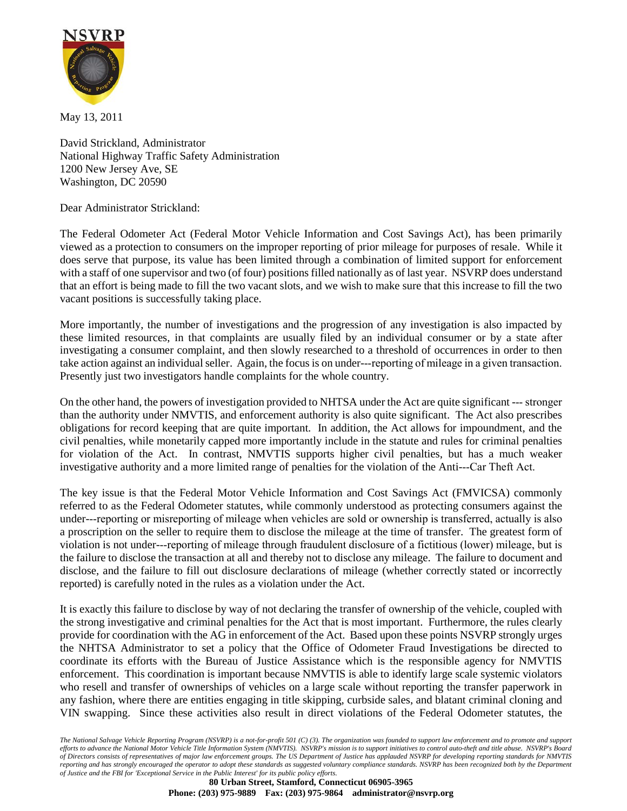

May 13, 2011

David Strickland, Administrator National Highway Traffic Safety Administration 1200 New Jersey Ave, SE Washington, DC 20590

Dear Administrator Strickland:

The Federal Odometer Act (Federal Motor Vehicle Information and Cost Savings Act), has been primarily viewed as a protection to consumers on the improper reporting of prior mileage for purposes of resale. While it does serve that purpose, its value has been limited through a combination of limited support for enforcement with a staff of one supervisor and two (of four) positions filled nationally as of last year. NSVRP does understand that an effort is being made to fill the two vacant slots, and we wish to make sure that this increase to fill the two vacant positions is successfully taking place.

More importantly, the number of investigations and the progression of any investigation is also impacted by these limited resources, in that complaints are usually filed by an individual consumer or by a state after investigating a consumer complaint, and then slowly researched to a threshold of occurrences in order to then take action against an individual seller. Again, the focus is on under-‐reporting of mileage in a given transaction. Presently just two investigators handle complaints for the whole country.

On the other hand, the powers of investigation provided to NHTSA under the Act are quite significant -‐ stronger than the authority under NMVTIS, and enforcement authority is also quite significant. The Act also prescribes obligations for record keeping that are quite important. In addition, the Act allows for impoundment, and the civil penalties, while monetarily capped more importantly include in the statute and rules for criminal penalties for violation of the Act. In contrast, NMVTIS supports higher civil penalties, but has a much weaker investigative authority and a more limited range of penalties for the violation of the Anti-‐Car Theft Act.

The key issue is that the Federal Motor Vehicle Information and Cost Savings Act (FMVICSA) commonly referred to as the Federal Odometer statutes, while commonly understood as protecting consumers against the under-‐reporting or misreporting of mileage when vehicles are sold or ownership is transferred, actually is also a proscription on the seller to require them to disclose the mileage at the time of transfer. The greatest form of violation is not under-‐reporting of mileage through fraudulent disclosure of a fictitious (lower) mileage, but is the failure to disclose the transaction at all and thereby not to disclose any mileage. The failure to document and disclose, and the failure to fill out disclosure declarations of mileage (whether correctly stated or incorrectly reported) is carefully noted in the rules as a violation under the Act.

It is exactly this failure to disclose by way of not declaring the transfer of ownership of the vehicle, coupled with the strong investigative and criminal penalties for the Act that is most important. Furthermore, the rules clearly provide for coordination with the AG in enforcement of the Act. Based upon these points NSVRP strongly urges the NHTSA Administrator to set a policy that the Office of Odometer Fraud Investigations be directed to coordinate its efforts with the Bureau of Justice Assistance which is the responsible agency for NMVTIS enforcement. This coordination is important because NMVTIS is able to identify large scale systemic violators who resell and transfer of ownerships of vehicles on a large scale without reporting the transfer paperwork in any fashion, where there are entities engaging in title skipping, curbside sales, and blatant criminal cloning and VIN swapping. Since these activities also result in direct violations of the Federal Odometer statutes, the

*The National Salvage Vehicle Reporting Program (NSVRP) is a not-for-profit 501 (C) (3). The organization was founded to support law enforcement and to promote and support efforts to advance the National Motor Vehicle Title Information System (NMVTIS). NSVRP's mission is to support initiatives to control auto-theft and title abuse. NSVRP's Board of Directors consists of representatives of major law enforcement groups. The US Department of Justice has applauded NSVRP for developing reporting standards for NMVTIS reporting and has strongly encouraged the operator to adopt these standards as suggested voluntary compliance standards. NSVRP has been recognized both by the Department of Justice and the FBI for 'Exceptional Service in the Public Interest' for its public policy efforts.*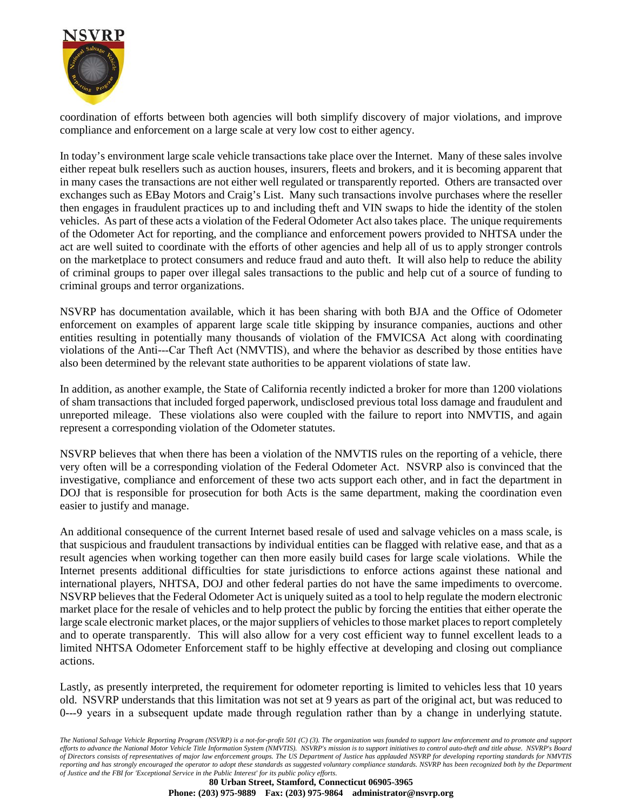

coordination of efforts between both agencies will both simplify discovery of major violations, and improve compliance and enforcement on a large scale at very low cost to either agency.

In today's environment large scale vehicle transactions take place over the Internet. Many of these sales involve either repeat bulk resellers such as auction houses, insurers, fleets and brokers, and it is becoming apparent that in many cases the transactions are not either well regulated or transparently reported. Others are transacted over exchanges such as EBay Motors and Craig's List. Many such transactions involve purchases where the reseller then engages in fraudulent practices up to and including theft and VIN swaps to hide the identity of the stolen vehicles. As part of these acts a violation of the Federal Odometer Act also takes place. The unique requirements of the Odometer Act for reporting, and the compliance and enforcement powers provided to NHTSA under the act are well suited to coordinate with the efforts of other agencies and help all of us to apply stronger controls on the marketplace to protect consumers and reduce fraud and auto theft. It will also help to reduce the ability of criminal groups to paper over illegal sales transactions to the public and help cut of a source of funding to criminal groups and terror organizations.

NSVRP has documentation available, which it has been sharing with both BJA and the Office of Odometer enforcement on examples of apparent large scale title skipping by insurance companies, auctions and other entities resulting in potentially many thousands of violation of the FMVICSA Act along with coordinating violations of the Anti-‐Car Theft Act (NMVTIS), and where the behavior as described by those entities have also been determined by the relevant state authorities to be apparent violations of state law.

In addition, as another example, the State of California recently indicted a broker for more than 1200 violations of sham transactions that included forged paperwork, undisclosed previous total loss damage and fraudulent and unreported mileage. These violations also were coupled with the failure to report into NMVTIS, and again represent a corresponding violation of the Odometer statutes.

NSVRP believes that when there has been a violation of the NMVTIS rules on the reporting of a vehicle, there very often will be a corresponding violation of the Federal Odometer Act. NSVRP also is convinced that the investigative, compliance and enforcement of these two acts support each other, and in fact the department in DOJ that is responsible for prosecution for both Acts is the same department, making the coordination even easier to justify and manage.

An additional consequence of the current Internet based resale of used and salvage vehicles on a mass scale, is that suspicious and fraudulent transactions by individual entities can be flagged with relative ease, and that as a result agencies when working together can then more easily build cases for large scale violations. While the Internet presents additional difficulties for state jurisdictions to enforce actions against these national and international players, NHTSA, DOJ and other federal parties do not have the same impediments to overcome. NSVRP believes that the Federal Odometer Act is uniquely suited as a tool to help regulate the modern electronic market place for the resale of vehicles and to help protect the public by forcing the entities that either operate the large scale electronic market places, or the major suppliers of vehicles to those market places to report completely and to operate transparently. This will also allow for a very cost efficient way to funnel excellent leads to a limited NHTSA Odometer Enforcement staff to be highly effective at developing and closing out compliance actions.

Lastly, as presently interpreted, the requirement for odometer reporting is limited to vehicles less that 10 years old. NSVRP understands that this limitation was not set at 9 years as part of the original act, but was reduced to 0-‐9 years in a subsequent update made through regulation rather than by a change in underlying statute.

*The National Salvage Vehicle Reporting Program (NSVRP) is a not-for-profit 501 (C) (3). The organization was founded to support law enforcement and to promote and support efforts to advance the National Motor Vehicle Title Information System (NMVTIS). NSVRP's mission is to support initiatives to control auto-theft and title abuse. NSVRP's Board of Directors consists of representatives of major law enforcement groups. The US Department of Justice has applauded NSVRP for developing reporting standards for NMVTIS reporting and has strongly encouraged the operator to adopt these standards as suggested voluntary compliance standards. NSVRP has been recognized both by the Department of Justice and the FBI for 'Exceptional Service in the Public Interest' for its public policy efforts.*